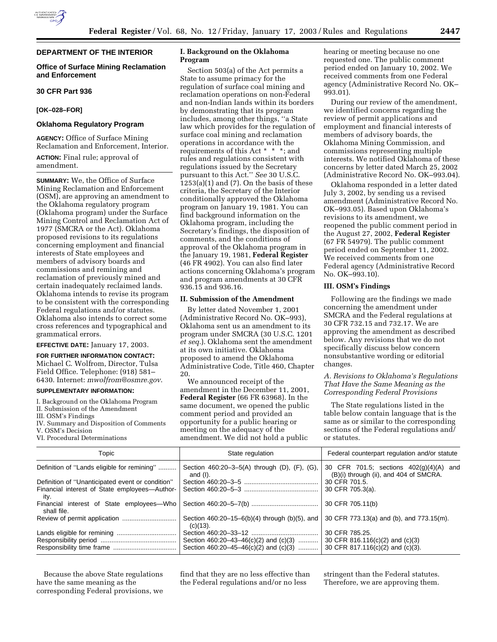# **DEPARTMENT OF THE INTERIOR**

## **Office of Surface Mining Reclamation and Enforcement**

## **30 CFR Part 936**

#### **[OK–028–FOR]**

### **Oklahoma Regulatory Program**

**AGENCY:** Office of Surface Mining Reclamation and Enforcement, Interior.

**ACTION:** Final rule; approval of amendment.

**SUMMARY:** We, the Office of Surface Mining Reclamation and Enforcement (OSM), are approving an amendment to the Oklahoma regulatory program (Oklahoma program) under the Surface Mining Control and Reclamation Act of 1977 (SMCRA or the Act). Oklahoma proposed revisions to its regulations concerning employment and financial interests of State employees and members of advisory boards and commissions and remining and reclamation of previously mined and certain inadequately reclaimed lands. Oklahoma intends to revise its program to be consistent with the corresponding Federal regulations and/or statutes. Oklahoma also intends to correct some cross references and typographical and grammatical errors.

#### **EFFECTIVE DATE:** January 17, 2003.

**FOR FURTHER INFORMATION CONTACT:** Michael C. Wolfrom, Director, Tulsa Field Office. Telephone: (918) 581– 6430. Internet: *mwolfrom@osmre.gov*.

#### **SUPPLEMENTARY INFORMATION:**

I. Background on the Oklahoma Program

- II. Submission of the Amendment
- III. OSM's Findings

IV. Summary and Disposition of Comments

VI. Procedural Determinations

## **I. Background on the Oklahoma Program**

Section 503(a) of the Act permits a State to assume primacy for the regulation of surface coal mining and reclamation operations on non-Federal and non-Indian lands within its borders by demonstrating that its program includes, among other things, ''a State law which provides for the regulation of surface coal mining and reclamation operations in accordance with the requirements of this Act \* \* \*; and rules and regulations consistent with regulations issued by the Secretary pursuant to this Act.'' *See* 30 U.S.C.  $1253(a)(1)$  and  $(7)$ . On the basis of these criteria, the Secretary of the Interior conditionally approved the Oklahoma program on January 19, 1981. You can find background information on the Oklahoma program, including the Secretary's findings, the disposition of comments, and the conditions of approval of the Oklahoma program in the January 19, 1981, **Federal Register** (46 FR 4902). You can also find later actions concerning Oklahoma's program and program amendments at 30 CFR 936.15 and 936.16.

### **II. Submission of the Amendment**

By letter dated November 1, 2001 (Administrative Record No. OK–993), Oklahoma sent us an amendment to its program under SMCRA (30 U.S.C. 1201 *et seq.*). Oklahoma sent the amendment at its own initiative. Oklahoma proposed to amend the Oklahoma Administrative Code, Title 460, Chapter 20.

We announced receipt of the amendment in the December 11, 2001, **Federal Register** (66 FR 63968). In the same document, we opened the public comment period and provided an opportunity for a public hearing or meeting on the adequacy of the amendment. We did not hold a public

hearing or meeting because no one requested one. The public comment period ended on January 10, 2002. We received comments from one Federal agency (Administrative Record No. OK– 993.01).

During our review of the amendment, we identified concerns regarding the review of permit applications and employment and financial interests of members of advisory boards, the Oklahoma Mining Commission, and commissions representing multiple interests. We notified Oklahoma of these concerns by letter dated March 25, 2002 (Administrative Record No. OK–993.04).

Oklahoma responded in a letter dated July 3, 2002, by sending us a revised amendment (Administrative Record No. OK–993.05). Based upon Oklahoma's revisions to its amendment, we reopened the public comment period in the August 27, 2002, **Federal Register** (67 FR 54979). The public comment period ended on September 11, 2002. We received comments from one Federal agency (Administrative Record No. OK–993.10).

#### **III. OSM's Findings**

Following are the findings we made concerning the amendment under SMCRA and the Federal regulations at 30 CFR 732.15 and 732.17. We are approving the amendment as described below. Any revisions that we do not specifically discuss below concern nonsubstantive wording or editorial changes.

## *A. Revisions to Oklahoma's Regulations That Have the Same Meaning as the Corresponding Federal Provisions*

The State regulations listed in the table below contain language that is the same as or similar to the corresponding sections of the Federal regulations and/ or statutes.

| Topic                                                    | State regulation                                                                   | Federal counterpart regulation and/or statute                                         |  |  |
|----------------------------------------------------------|------------------------------------------------------------------------------------|---------------------------------------------------------------------------------------|--|--|
| Definition of "Lands eligible for remining"              | Section 460:20-3-5(A) through (D), (F), (G),<br>and (I).                           | 30 CFR 701.5; sections 402(q)(4)(A) and<br>(B)(i) through (ii), and 404 of SMCRA.     |  |  |
| Definition of "Unanticipated event or condition"         |                                                                                    | 30 CFR 701.5.                                                                         |  |  |
| Financial interest of State employees—Author-<br>ity.    |                                                                                    | 30 CFR 705.3(a).                                                                      |  |  |
| Financial interest of State employees-Who<br>shall file. |                                                                                    | 30 CFR 705.11(b)                                                                      |  |  |
|                                                          | Section $460:20-15-6(b)(4)$ through (b)(5), and<br>$(c)(13)$ .                     | 30 CFR 773.13(a) and (b), and 773.15(m).                                              |  |  |
|                                                          | Section 460:20-43-46(c)(2) and (c)(3)<br>Section $460:20-45-46(c)(2)$ and $(c)(3)$ | 30 CFR 785.25.<br>30 CFR 816.116(c)(2) and (c)(3)<br>30 CFR 817.116(c)(2) and (c)(3). |  |  |

Because the above State regulations have the same meaning as the corresponding Federal provisions, we find that they are no less effective than the Federal regulations and/or no less

stringent than the Federal statutes. Therefore, we are approving them.

V. OSM's Decision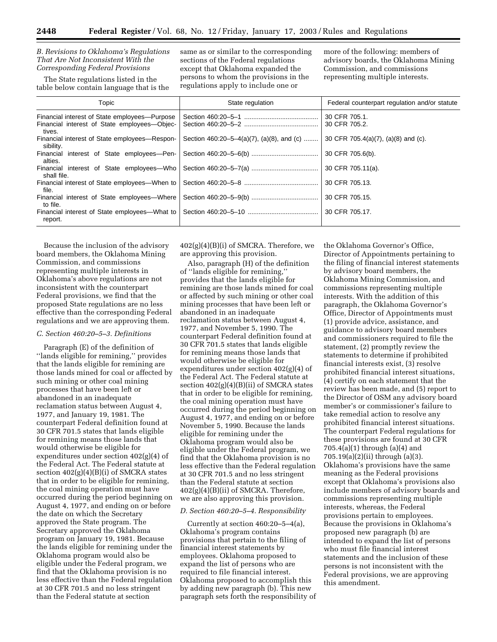*B. Revisions to Oklahoma's Regulations That Are Not Inconsistent With the Corresponding Federal Provisions*

The State regulations listed in the table below contain language that is the same as or similar to the corresponding sections of the Federal regulations except that Oklahoma expanded the persons to whom the provisions in the regulations apply to include one or

more of the following: members of advisory boards, the Oklahoma Mining Commission, and commissions representing multiple interests.

| Topic                                                                                                   | State regulation                          | Federal counterpart regulation and/or statute<br>30 CFR 705.1.<br>30 CFR 705.2. |  |
|---------------------------------------------------------------------------------------------------------|-------------------------------------------|---------------------------------------------------------------------------------|--|
| Financial interest of State employees-Purpose<br>Financial interest of State employees-Objec-<br>tives. |                                           |                                                                                 |  |
| Financial interest of State employees-Respon-<br>sibility.                                              | Section 460:20-5-4(a)(7), (a)(8), and (c) | 30 CFR 705.4(a)(7), (a)(8) and (c).                                             |  |
| Financial interest of State employees-Pen-<br>alties.                                                   |                                           | 30 CFR 705.6(b).                                                                |  |
| shall file.                                                                                             |                                           | 30 CFR 705.11(a).                                                               |  |
| Financial interest of State employees—When to<br>file.                                                  | 30 CFR 705.13.                            |                                                                                 |  |
| Financial interest of State employees—Where<br>to file.                                                 |                                           | 30 CFR 705.15.                                                                  |  |
| Financial interest of State employees—What to<br>report.                                                |                                           | 30 CFR 705.17.                                                                  |  |

Because the inclusion of the advisory board members, the Oklahoma Mining Commission, and commissions representing multiple interests in Oklahoma's above regulations are not inconsistent with the counterpart Federal provisions, we find that the proposed State regulations are no less effective than the corresponding Federal regulations and we are approving them.

## *C. Section 460:20–5–3. Definitions*

Paragraph (E) of the definition of ''lands eligible for remining,'' provides that the lands eligible for remining are those lands mined for coal or affected by such mining or other coal mining processes that have been left or abandoned in an inadequate reclamation status between August 4, 1977, and January 19, 1981. The counterpart Federal definition found at 30 CFR 701.5 states that lands eligible for remining means those lands that would otherwise be eligible for expenditures under section 402(g)(4) of the Federal Act. The Federal statute at section  $402(g)(4)(B)(i)$  of SMCRA states that in order to be eligible for remining, the coal mining operation must have occurred during the period beginning on August 4, 1977, and ending on or before the date on which the Secretary approved the State program. The Secretary approved the Oklahoma program on January 19, 1981. Because the lands eligible for remining under the Oklahoma program would also be eligible under the Federal program, we find that the Oklahoma provision is no less effective than the Federal regulation at 30 CFR 701.5 and no less stringent than the Federal statute at section

 $402(g)(4)(B)(i)$  of SMCRA. Therefore, we are approving this provision.

Also, paragraph (H) of the definition of ''lands eligible for remining,'' provides that the lands eligible for remining are those lands mined for coal or affected by such mining or other coal mining processes that have been left or abandoned in an inadequate reclamation status between August 4, 1977, and November 5, 1990. The counterpart Federal definition found at 30 CFR 701.5 states that lands eligible for remining means those lands that would otherwise be eligible for expenditures under section 402(g)(4) of the Federal Act. The Federal statute at section 402(g)(4)(B)(ii) of SMCRA states that in order to be eligible for remining, the coal mining operation must have occurred during the period beginning on August 4, 1977, and ending on or before November 5, 1990. Because the lands eligible for remining under the Oklahoma program would also be eligible under the Federal program, we find that the Oklahoma provision is no less effective than the Federal regulation at 30 CFR 701.5 and no less stringent than the Federal statute at section  $402(g)(4)(B)(ii)$  of SMCRA. Therefore, we are also approving this provision.

#### *D. Section 460:20–5–4. Responsibility*

Currently at section 460:20–5–4(a), Oklahoma's program contains provisions that pertain to the filing of financial interest statements by employees. Oklahoma proposed to expand the list of persons who are required to file financial interest. Oklahoma proposed to accomplish this by adding new paragraph (b). This new paragraph sets forth the responsibility of

the Oklahoma Governor's Office, Director of Appointments pertaining to the filing of financial interest statements by advisory board members, the Oklahoma Mining Commission, and commissions representing multiple interests. With the addition of this paragraph, the Oklahoma Governor's Office, Director of Appointments must (1) provide advice, assistance, and guidance to advisory board members and commissioners required to file the statement, (2) promptly review the statements to determine if prohibited financial interests exist, (3) resolve prohibited financial interest situations, (4) certify on each statement that the review has been made, and (5) report to the Director of OSM any advisory board member's or commissioner's failure to take remedial action to resolve any prohibited financial interest situations. The counterpart Federal regulations for these provisions are found at 30 CFR 705.4(a)(1) through (a)(4) and 705.19(a)(2)(ii) through (a)(3). Oklahoma's provisions have the same meaning as the Federal provisions except that Oklahoma's provisions also include members of advisory boards and commissions representing multiple interests, whereas, the Federal provisions pertain to employees. Because the provisions in Oklahoma's proposed new paragraph (b) are intended to expand the list of persons who must file financial interest statements and the inclusion of these persons is not inconsistent with the Federal provisions, we are approving this amendment.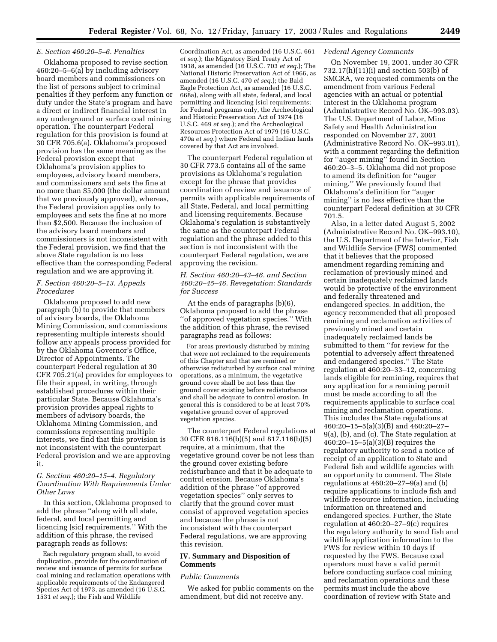#### *E. Section 460:20–5–6. Penalties*

Oklahoma proposed to revise section 460:20–5–6(a) by including advisory board members and commissioners on the list of persons subject to criminal penalties if they perform any function or duty under the State's program and have a direct or indirect financial interest in any underground or surface coal mining operation. The counterpart Federal regulation for this provision is found at 30 CFR 705.6(a). Oklahoma's proposed provision has the same meaning as the Federal provision except that Oklahoma's provision applies to employees, advisory board members, and commissioners and sets the fine at no more than \$5,000 (the dollar amount that we previously approved), whereas, the Federal provision applies only to employees and sets the fine at no more than \$2,500. Because the inclusion of the advisory board members and commissioners is not inconsistent with the Federal provision, we find that the above State regulation is no less effective than the corresponding Federal regulation and we are approving it.

#### *F. Section 460:20–5–13. Appeals Procedures*

Oklahoma proposed to add new paragraph (b) to provide that members of advisory boards, the Oklahoma Mining Commission, and commissions representing multiple interests should follow any appeals process provided for by the Oklahoma Governor's Office, Director of Appointments. The counterpart Federal regulation at 30 CFR 705.21(a) provides for employees to file their appeal, in writing, through established procedures within their particular State. Because Oklahoma's provision provides appeal rights to members of advisory boards, the Oklahoma Mining Commission, and commissions representing multiple interests, we find that this provision is not inconsistent with the counterpart Federal provision and we are approving it.

## *G. Section 460:20–15–4. Regulatory Coordination With Requirements Under Other Laws*

In this section, Oklahoma proposed to add the phrase ''along with all state, federal, and local permitting and licencing [sic] requirements.'' With the addition of this phrase, the revised paragraph reads as follows:

Each regulatory program shall, to avoid duplication, provide for the coordination of review and issuance of permits for surface coal mining and reclamation operations with applicable requirements of the Endangered Species Act of 1973, as amended (16 U.S.C. 1531 *et seq.*); the Fish and Wildlife

Coordination Act, as amended (16 U.S.C. 661 *et seq.*); the Migratory Bird Treaty Act of 1918, as amended (16 U.S.C. 703 *et seq.*); The National Historic Preservation Act of 1966, as amended (16 U.S.C. 470 *et seq.*); the Bald Eagle Protection Act, as amended (16 U.S.C. 668a), along with all state, federal, and local permitting and licencing [sic] requirements; for Federal programs only, the Archeological and Historic Preservation Act of 1974 (16 U.S.C. 469 *et seq.*); and the Archeological Resources Protection Act of 1979 (16 U.S.C. 470a *et seq.*) where Federal and Indian lands covered by that Act are involved.

The counterpart Federal regulation at 30 CFR 773.5 contains all of the same provisions as Oklahoma's regulation except for the phrase that provides coordination of review and issuance of permits with applicable requirements of all State, Federal, and local permitting and licensing requirements. Because Oklahoma's regulation is substantively the same as the counterpart Federal regulation and the phrase added to this section is not inconsistent with the counterpart Federal regulation, we are approving the revision.

## *H. Section 460:20–43–46. and Section 460:20–45–46. Revegetation: Standards for Success*

At the ends of paragraphs (b)(6), Oklahoma proposed to add the phrase ''of approved vegetation species.'' With the addition of this phrase, the revised paragraphs read as follows:

For areas previously disturbed by mining that were not reclaimed to the requirements of this Chapter and that are remined or otherwise redisturbed by surface coal mining operations, as a minimum, the vegetative ground cover shall be not less than the ground cover existing before redisturbance and shall be adequate to control erosion. In general this is considered to be at least 70% vegetative ground cover of approved vegetation species.

The counterpart Federal regulations at 30 CFR 816.116(b)(5) and 817.116(b)(5) require, at a minimum, that the vegetative ground cover be not less than the ground cover existing before redisturbance and that it be adequate to control erosion. Because Oklahoma's addition of the phrase ''of approved vegetation species'' only serves to clarify that the ground cover must consist of approved vegetation species and because the phrase is not inconsistent with the counterpart Federal regulations, we are approving this revision.

# **IV. Summary and Disposition of Comments**

#### *Public Comments*

We asked for public comments on the amendment, but did not receive any.

### *Federal Agency Comments*

On November 19, 2001, under 30 CFR 732.17(h)(11)(i) and section 503(b) of SMCRA, we requested comments on the amendment from various Federal agencies with an actual or potential interest in the Oklahoma program (Administrative Record No. OK–993.03). The U.S. Department of Labor, Mine Safety and Health Administration responded on November 27, 2001 (Administrative Record No. OK–993.01), with a comment regarding the definition for ''auger mining'' found in Section 460:20–3–5. Oklahoma did not propose to amend its definition for ''auger mining.'' We previously found that Oklahoma's definition for ''auger mining'' is no less effective than the counterpart Federal definition at 30 CFR 701.5.

Also, in a letter dated August 5, 2002 (Administrative Record No. OK–993.10), the U.S. Department of the Interior, Fish and Wildlife Service (FWS) commented that it believes that the proposed amendment regarding remining and reclamation of previously mined and certain inadequately reclaimed lands would be protective of the environment and federally threatened and endangered species. In addition, the agency recommended that all proposed remining and reclamation activities of previously mined and certain inadequately reclaimed lands be submitted to them ''for review for the potential to adversely affect threatened and endangered species.'' The State regulation at 460:20–33–12, concerning lands eligible for remining, requires that any application for a remining permit must be made according to all the requirements applicable to surface coal mining and reclamation operations. This includes the State regulations at 460:20–15–5(a)(3)(B) and 460:20–27– 9(a), (b), and (c). The State regulation at 460:20–15–5(a)(3)(B) requires the regulatory authority to send a notice of receipt of an application to State and Federal fish and wildlife agencies with an opportunity to comment. The State regulations at  $460:20-27-9(a)$  and (b) require applications to include fish and wildlife resource information, including information on threatened and endangered species. Further, the State regulation at 460:20–27–9(c) requires the regulatory authority to send fish and wildlife application information to the FWS for review within 10 days if requested by the FWS. Because coal operators must have a valid permit before conducting surface coal mining and reclamation operations and these permits must include the above coordination of review with State and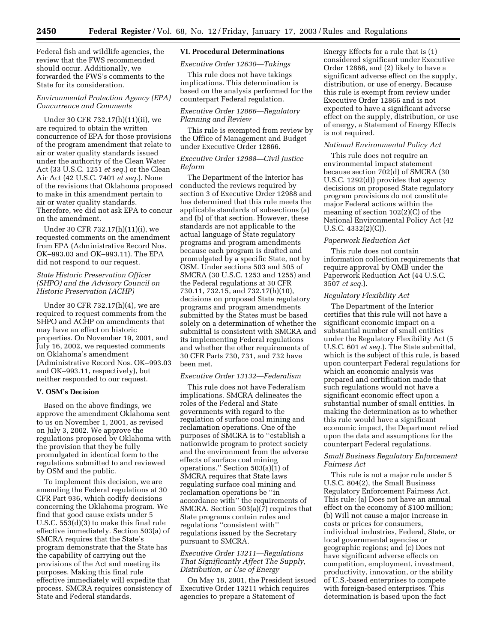Federal fish and wildlife agencies, the review that the FWS recommended should occur. Additionally, we forwarded the FWS's comments to the State for its consideration.

## *Environmental Protection Agency (EPA) Concurrence and Comments*

Under 30 CFR 732.17(h)(11)(ii), we are required to obtain the written concurrence of EPA for those provisions of the program amendment that relate to air or water quality standards issued under the authority of the Clean Water Act (33 U.S.C. 1251 *et seq.*) or the Clean Air Act (42 U.S.C. 7401 *et seq.*). None of the revisions that Oklahoma proposed to make in this amendment pertain to air or water quality standards. Therefore, we did not ask EPA to concur on the amendment.

Under 30 CFR 732.17(h)(11)(i), we requested comments on the amendment from EPA (Administrative Record Nos. OK–993.03 and OK–993.11). The EPA did not respond to our request.

## *State Historic Preservation Officer (SHPO) and the Advisory Council on Historic Preservation (ACHP)*

Under 30 CFR 732.17(h)(4), we are required to request comments from the SHPO and ACHP on amendments that may have an effect on historic properties. On November 19, 2001, and July 16, 2002, we requested comments on Oklahoma's amendment (Administrative Record Nos. OK–993.03 and OK–993.11, respectively), but neither responded to our request.

## **V. OSM's Decision**

Based on the above findings, we approve the amendment Oklahoma sent to us on November 1, 2001, as revised on July 3, 2002. We approve the regulations proposed by Oklahoma with the provision that they be fully promulgated in identical form to the regulations submitted to and reviewed by OSM and the public.

To implement this decision, we are amending the Federal regulations at 30 CFR Part 936, which codify decisions concerning the Oklahoma program. We find that good cause exists under 5 U.S.C. 553(d)(3) to make this final rule effective immediately. Section 503(a) of SMCRA requires that the State's program demonstrate that the State has the capability of carrying out the provisions of the Act and meeting its purposes. Making this final rule effective immediately will expedite that process. SMCRA requires consistency of State and Federal standards.

# **VI. Procedural Determinations**

*Executive Order 12630—Takings* 

This rule does not have takings implications. This determination is based on the analysis performed for the counterpart Federal regulation.

## *Executive Order 12866—Regulatory Planning and Review*

This rule is exempted from review by the Office of Management and Budget under Executive Order 12866.

## *Executive Order 12988—Civil Justice Reform*

The Department of the Interior has conducted the reviews required by section 3 of Executive Order 12988 and has determined that this rule meets the applicable standards of subsections (a) and (b) of that section. However, these standards are not applicable to the actual language of State regulatory programs and program amendments because each program is drafted and promulgated by a specific State, not by OSM. Under sections 503 and 505 of SMCRA (30 U.S.C. 1253 and 1255) and the Federal regulations at 30 CFR 730.11, 732.15, and 732.17(h)(10), decisions on proposed State regulatory programs and program amendments submitted by the States must be based solely on a determination of whether the submittal is consistent with SMCRA and its implementing Federal regulations and whether the other requirements of 30 CFR Parts 730, 731, and 732 have been met.

#### *Executive Order 13132—Federalism*

This rule does not have Federalism implications. SMCRA delineates the roles of the Federal and State governments with regard to the regulation of surface coal mining and reclamation operations. One of the purposes of SMCRA is to ''establish a nationwide program to protect society and the environment from the adverse effects of surface coal mining operations.'' Section 503(a)(1) of SMCRA requires that State laws regulating surface coal mining and reclamation operations be ''in accordance with'' the requirements of SMCRA. Section 503(a)(7) requires that State programs contain rules and regulations ''consistent with'' regulations issued by the Secretary pursuant to SMCRA.

## *Executive Order 13211—Regulations That Significantly Affect The Supply, Distribution, or Use of Energy*

On May 18, 2001, the President issued Executive Order 13211 which requires agencies to prepare a Statement of

Energy Effects for a rule that is (1) considered significant under Executive Order 12866, and (2) likely to have a significant adverse effect on the supply, distribution, or use of energy. Because this rule is exempt from review under Executive Order 12866 and is not expected to have a significant adverse effect on the supply, distribution, or use of energy, a Statement of Energy Effects is not required.

#### *National Environmental Policy Act*

This rule does not require an environmental impact statement because section 702(d) of SMCRA (30 U.S.C. 1292(d)) provides that agency decisions on proposed State regulatory program provisions do not constitute major Federal actions within the meaning of section 102(2)(C) of the National Environmental Policy Act (42 U.S.C. 4332(2)(C)).

#### *Paperwork Reduction Act*

This rule does not contain information collection requirements that require approval by OMB under the Paperwork Reduction Act (44 U.S.C. 3507 *et seq.*).

#### *Regulatory Flexibility Act*

The Department of the Interior certifies that this rule will not have a significant economic impact on a substantial number of small entities under the Regulatory Flexibility Act (5 U.S.C. 601 *et seq.*). The State submittal, which is the subject of this rule, is based upon counterpart Federal regulations for which an economic analysis was prepared and certification made that such regulations would not have a significant economic effect upon a substantial number of small entities. In making the determination as to whether this rule would have a significant economic impact, the Department relied upon the data and assumptions for the counterpart Federal regulations.

### *Small Business Regulatory Enforcement Fairness Act*

This rule is not a major rule under 5 U.S.C. 804(2), the Small Business Regulatory Enforcement Fairness Act. This rule: (a) Does not have an annual effect on the economy of \$100 million; (b) Will not cause a major increase in costs or prices for consumers, individual industries, Federal, State, or local governmental agencies or geographic regions; and (c) Does not have significant adverse effects on competition, employment, investment, productivity, innovation, or the ability of U.S.-based enterprises to compete with foreign-based enterprises. This determination is based upon the fact